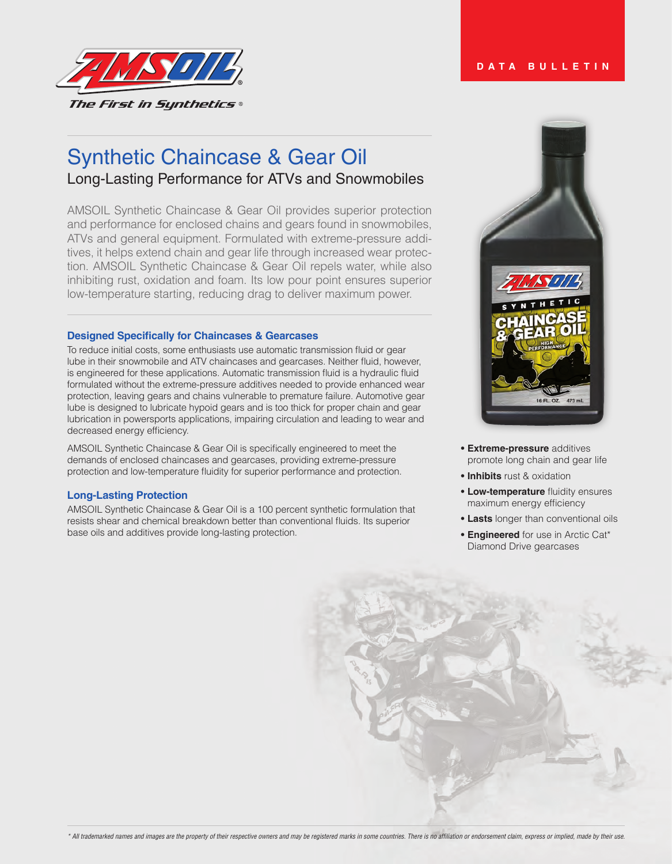

# Synthetic Chaincase & Gear Oil Long-Lasting Performance for ATVs and Snowmobiles

AMSOIL Synthetic Chaincase & Gear Oil provides superior protection and performance for enclosed chains and gears found in snowmobiles, ATVs and general equipment. Formulated with extreme-pressure additives, it helps extend chain and gear life through increased wear protection. AMSOIL Synthetic Chaincase & Gear Oil repels water, while also inhibiting rust, oxidation and foam. Its low pour point ensures superior low-temperature starting, reducing drag to deliver maximum power.

### **Designed Specifically for Chaincases & Gearcases**

To reduce initial costs, some enthusiasts use automatic transmission fluid or gear lube in their snowmobile and ATV chaincases and gearcases. Neither fluid, however, is engineered for these applications. Automatic transmission fluid is a hydraulic fluid formulated without the extreme-pressure additives needed to provide enhanced wear protection, leaving gears and chains vulnerable to premature failure. Automotive gear lube is designed to lubricate hypoid gears and is too thick for proper chain and gear lubrication in powersports applications, impairing circulation and leading to wear and decreased energy efficiency.

AMSOIL Synthetic Chaincase & Gear Oil is specifically engineered to meet the demands of enclosed chaincases and gearcases, providing extreme-pressure protection and low-temperature fluidity for superior performance and protection.

# **Long-Lasting Protection**

AMSOIL Synthetic Chaincase & Gear Oil is a 100 percent synthetic formulation that resists shear and chemical breakdown better than conventional fluids. Its superior base oils and additives provide long-lasting protection.



- **• Extreme-pressure** additives promote long chain and gear life
- **• Inhibits** rust & oxidation
- **• Low-temperature** fluidity ensures maximum energy efficiency
- **• Lasts** longer than conventional oils
- **• Engineered** for use in Arctic Cat\* Diamond Drive gearcases